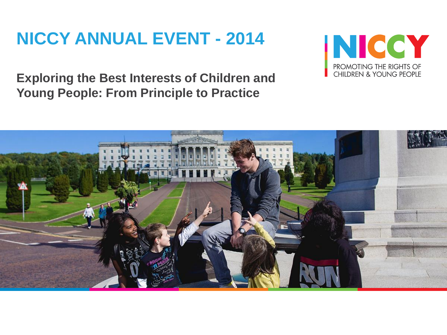# **NICCY ANNUAL EVENT - 2014**



**Exploring the Best Interests of Children and Young People: From Principle to Practice**

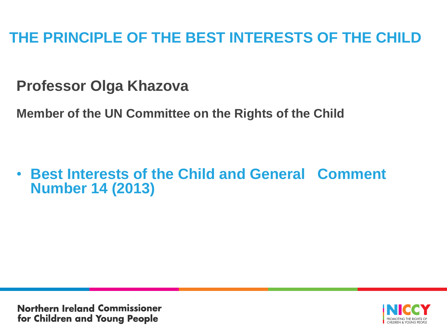**Professor Olga Khazova**

**Member of the UN Committee on the Rights of the Child**

• **Best Interests of the Child and General Comment Number 14 (2013)**

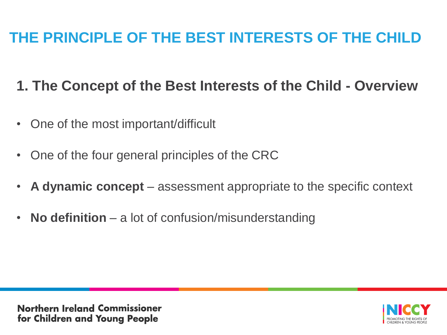#### **1. The Concept of the Best Interests of the Child - Overview**

- One of the most important/difficult
- One of the four general principles of the CRC
- **A dynamic concept**  assessment appropriate to the specific context
- **No definition**  a lot of confusion/misunderstanding

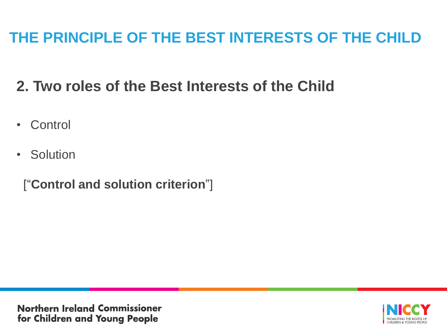## **2. Two roles of the Best Interests of the Child**

- Control
- Solution

["**Control and solution criterion**"]

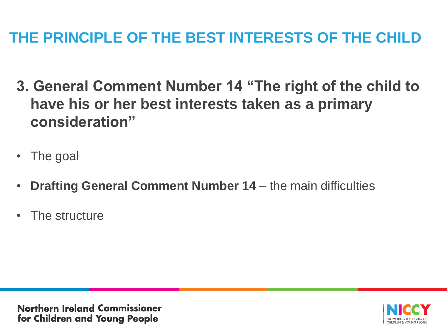- **3. General Comment Number 14 "The right of the child to have his or her best interests taken as a primary consideration"**
- The goal
- **Drafting General Comment Number 14**  the main difficulties
- The structure

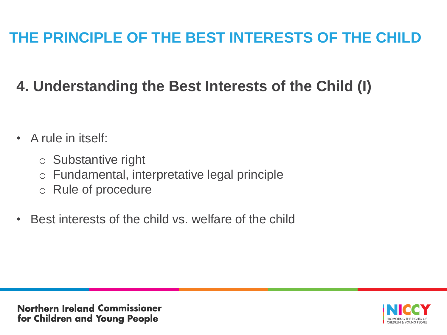# **4. Understanding the Best Interests of the Child (I)**

- A rule in itself:
	- o Substantive right
	- o Fundamental, interpretative legal principle
	- o Rule of procedure
- Best interests of the child vs. welfare of the child

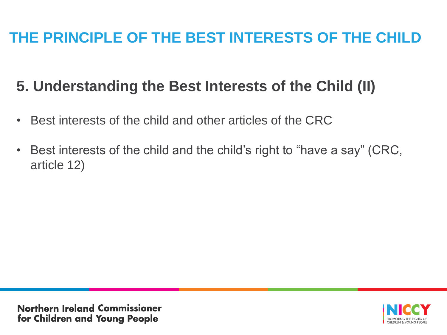### **5. Understanding the Best Interests of the Child (II)**

- Best interests of the child and other articles of the CRC
- Best interests of the child and the child's right to "have a say" (CRC, article 12)

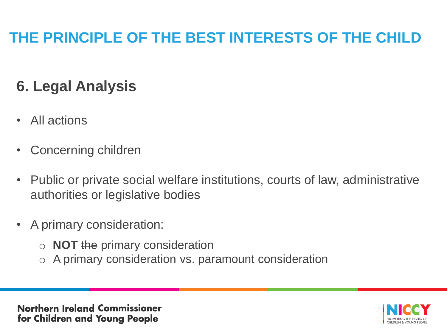# **6. Legal Analysis**

- All actions
- Concerning children
- Public or private social welfare institutions, courts of law, administrative authorities or legislative bodies
- A primary consideration:
	- o **NOT** the primary consideration
	- o A primary consideration vs. paramount consideration

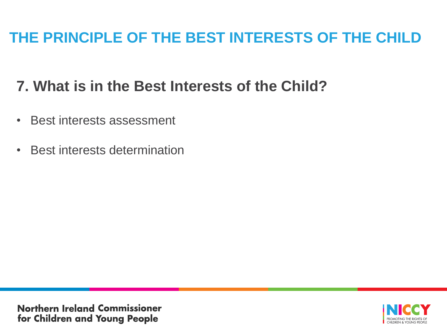### **7. What is in the Best Interests of the Child?**

- Best interests assessment
- Best interests determination

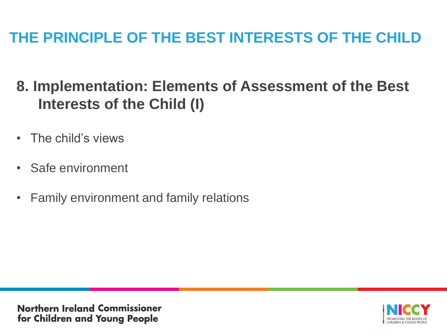### **8. Implementation: Elements of Assessment of the Best Interests of the Child (I)**

- The child's views
- Safe environment
- Family environment and family relations

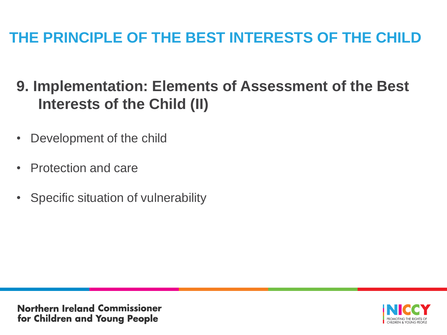### **9. Implementation: Elements of Assessment of the Best Interests of the Child (II)**

- Development of the child
- Protection and care
- Specific situation of vulnerability

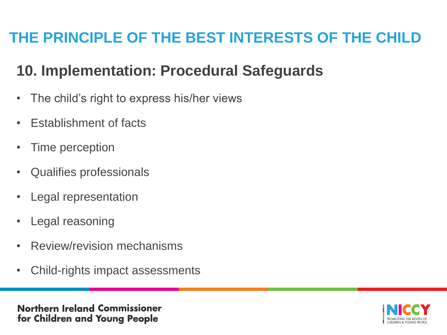#### **10. Implementation: Procedural Safeguards**

- The child's right to express his/her views
- Establishment of facts
- Time perception
- Qualifies professionals
- Legal representation
- Legal reasoning
- Review/revision mechanisms
- Child-rights impact assessments